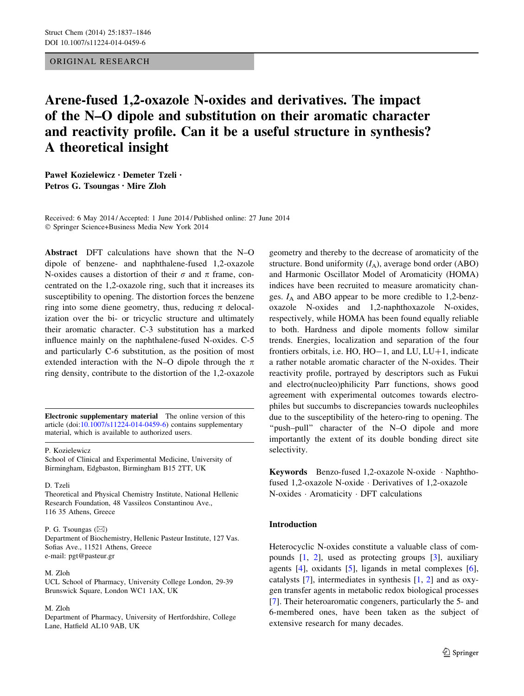# ORIGINAL RESEARCH

# Arene-fused 1,2-oxazole N-oxides and derivatives. The impact of the N–O dipole and substitution on their aromatic character and reactivity profile. Can it be a useful structure in synthesis? A theoretical insight

Paweł Kozielewicz • Demeter Tzeli • Petros G. Tsoungas • Mire Zloh

Received: 6 May 2014 / Accepted: 1 June 2014 / Published online: 27 June 2014 - Springer Science+Business Media New York 2014

Abstract DFT calculations have shown that the N–O dipole of benzene- and naphthalene-fused 1,2-oxazole N-oxides causes a distortion of their  $\sigma$  and  $\pi$  frame, concentrated on the 1,2-oxazole ring, such that it increases its susceptibility to opening. The distortion forces the benzene ring into some diene geometry, thus, reducing  $\pi$  delocalization over the bi- or tricyclic structure and ultimately their aromatic character. C-3 substitution has a marked influence mainly on the naphthalene-fused N-oxides. C-5 and particularly C-6 substitution, as the position of most extended interaction with the N–O dipole through the  $\pi$ ring density, contribute to the distortion of the 1,2-oxazole

Electronic supplementary material The online version of this article (doi: $10.1007/s11224-014-0459-6$ ) contains supplementary material, which is available to authorized users.

#### P. Kozielewicz

School of Clinical and Experimental Medicine, University of Birmingham, Edgbaston, Birmingham B15 2TT, UK

## D. Tzeli

Theoretical and Physical Chemistry Institute, National Hellenic Research Foundation, 48 Vassileos Constantinou Ave., 116 35 Athens, Greece

## P. G. Tsoungas  $(\boxtimes)$

Department of Biochemistry, Hellenic Pasteur Institute, 127 Vas. Sofias Ave., 11521 Athens, Greece e-mail: pgt@pasteur.gr

## M. Zloh

UCL School of Pharmacy, University College London, 29-39 Brunswick Square, London WC1 1AX, UK

#### M. Zloh

Department of Pharmacy, University of Hertfordshire, College Lane, Hatfield AL10 9AB, UK

geometry and thereby to the decrease of aromaticity of the structure. Bond uniformity  $(I_A)$ , average bond order (ABO) and Harmonic Oscillator Model of Aromaticity (HOMA) indices have been recruited to measure aromaticity changes.  $I_A$  and ABO appear to be more credible to 1,2-benzoxazole N-oxides and 1,2-naphthoxazole N-oxides, respectively, while HOMA has been found equally reliable to both. Hardness and dipole moments follow similar trends. Energies, localization and separation of the four frontiers orbitals, i.e.  $HO$ ,  $HO-1$ , and  $LU$ ,  $LU+1$ , indicate a rather notable aromatic character of the N-oxides. Their reactivity profile, portrayed by descriptors such as Fukui and electro(nucleo)philicity Parr functions, shows good agreement with experimental outcomes towards electrophiles but succumbs to discrepancies towards nucleophiles due to the susceptibility of the hetero-ring to opening. The "push-pull" character of the N-O dipole and more importantly the extent of its double bonding direct site selectivity.

Keywords Benzo-fused 1,2-oxazole N-oxide - Naphthofused 1,2-oxazole N-oxide - Derivatives of 1,2-oxazole N-oxides - Aromaticity - DFT calculations

# Introduction

Heterocyclic N-oxides constitute a valuable class of compounds [[1,](#page-8-0) [2\]](#page-8-0), used as protecting groups [\[3](#page-8-0)], auxiliary agents [\[4](#page-8-0)], oxidants [[5\]](#page-8-0), ligands in metal complexes [\[6](#page-8-0)], catalysts [\[7](#page-8-0)], intermediates in synthesis [[1,](#page-8-0) [2\]](#page-8-0) and as oxygen transfer agents in metabolic redox biological processes [\[7](#page-8-0)]. Their heteroaromatic congeners, particularly the 5- and 6-membered ones, have been taken as the subject of extensive research for many decades.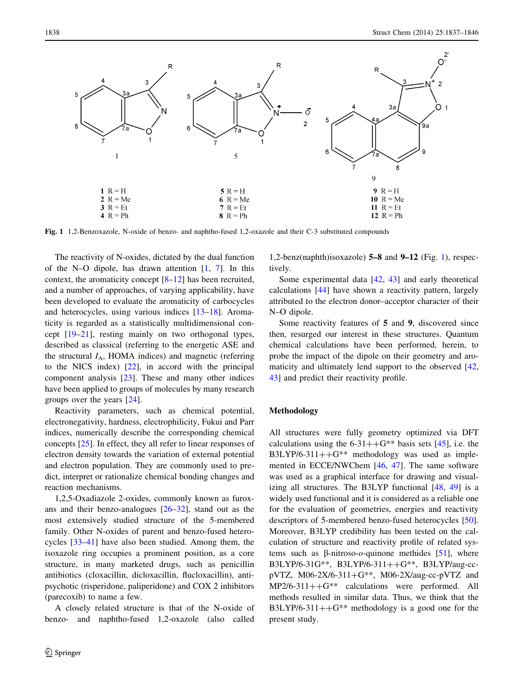<span id="page-1-0"></span>

Fig. 1 1,2-Benzoxazole, N-oxide of benzo- and naphtho-fused 1,2-oxazole and their C-3 substituted compounds

The reactivity of N-oxides, dictated by the dual function of the N–O dipole, has drawn attention  $[1, 7]$  $[1, 7]$  $[1, 7]$ . In this context, the aromaticity concept [[8–12\]](#page-8-0) has been recruited, and a number of approaches, of varying applicability, have been developed to evaluate the aromaticity of carbocycles and heterocycles, using various indices [[13–18\]](#page-8-0). Aromaticity is regarded as a statistically multidimensional concept [[19–21\]](#page-8-0), resting mainly on two orthogonal types, described as classical (referring to the energetic ASE and the structural  $I_A$ , HOMA indices) and magnetic (referring to the NICS index) [\[22](#page-8-0)], in accord with the principal component analysis [\[23](#page-8-0)]. These and many other indices have been applied to groups of molecules by many research groups over the years [[24\]](#page-8-0).

Reactivity parameters, such as chemical potential, electronegativity, hardness, electrophilicity, Fukui and Parr indices, numerically describe the corresponding chemical concepts [[25\]](#page-8-0). In effect, they all refer to linear responses of electron density towards the variation of external potential and electron population. They are commonly used to predict, interpret or rationalize chemical bonding changes and reaction mechanisms.

1,2,5-Oxadiazole 2-oxides, commonly known as furoxans and their benzo-analogues  $[26-32]$ , stand out as the most extensively studied structure of the 5-membered family. Other N-oxides of parent and benzo-fused heterocycles [\[33](#page-8-0)[–41](#page-9-0)] have also been studied. Among them, the isoxazole ring occupies a prominent position, as a core structure, in many marketed drugs, such as penicillin antibiotics (cloxacillin, dicloxacillin, flucloxacillin), antipsychotic (risperidone, paliperidone) and COX 2 inhibitors (parecoxib) to name a few.

A closely related structure is that of the N-oxide of benzo- and naphtho-fused 1,2-oxazole (also called

1,2-benz(naphth)isoxazole) 5–8 and 9–12 (Fig. 1), respectively.

Some experimental data [\[42](#page-9-0), [43\]](#page-9-0) and early theoretical calculations [\[44](#page-9-0)] have shown a reactivity pattern, largely attributed to the electron donor–acceptor character of their N–O dipole.

Some reactivity features of 5 and 9, discovered since then, resurged our interest in these structures. Quantum chemical calculations have been performed, herein, to probe the impact of the dipole on their geometry and aromaticity and ultimately lend support to the observed [[42,](#page-9-0) [43](#page-9-0)] and predict their reactivity profile.

## Methodology

All structures were fully geometry optimized via DFT calculations using the  $6-31++G^{**}$  basis sets [\[45](#page-9-0)], i.e. the B3LYP/6-311++ $G^{**}$  methodology was used as implemented in ECCE/NWChem [\[46](#page-9-0), [47](#page-9-0)]. The same software was used as a graphical interface for drawing and visualizing all structures. The B3LYP functional [\[48](#page-9-0), [49](#page-9-0)] is a widely used functional and it is considered as a reliable one for the evaluation of geometries, energies and reactivity descriptors of 5-membered benzo-fused heterocycles [\[50](#page-9-0)]. Moreover, B3LYP credibility has been tested on the calculation of structure and reactivity profile of related systems such as  $\beta$ -nitroso-o-quinone methides [[51\]](#page-9-0), where B3LYP/6-31G\*\*, B3LYP/6-311++G\*\*, B3LYP/aug-ccpVTZ, M06-2X/6-311+ $G^{**}$ , M06-2X/aug-cc-pVTZ and  $MP2/6-311++G**$  calculations were performed. All methods resulted in similar data. Thus, we think that the B3LYP/6-311++ $G^{**}$  methodology is a good one for the present study.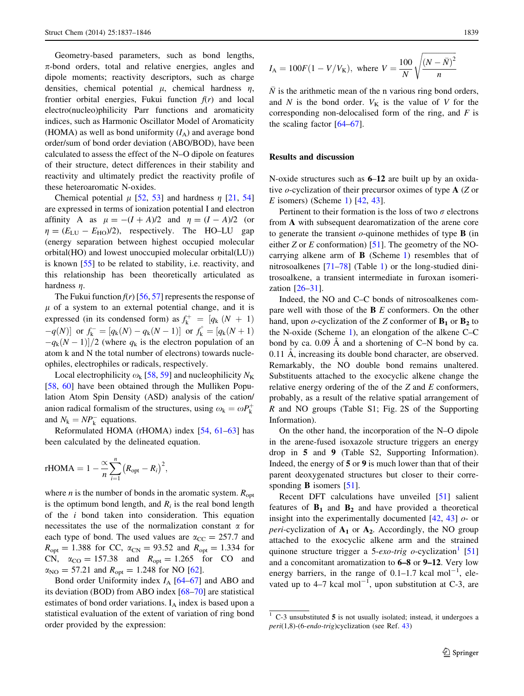Geometry-based parameters, such as bond lengths,  $\pi$ -bond orders, total and relative energies, angles and dipole moments; reactivity descriptors, such as charge densities, chemical potential  $\mu$ , chemical hardness  $\eta$ , frontier orbital energies, Fukui function  $f(r)$  and local electro(nucleo)philicity Parr functions and aromaticity indices, such as Harmonic Oscillator Model of Aromaticity (HOMA) as well as bond uniformity  $(I_A)$  and average bond order/sum of bond order deviation (ABO/BOD), have been calculated to assess the effect of the N–O dipole on features of their structure, detect differences in their stability and reactivity and ultimately predict the reactivity profile of these heteroaromatic N-oxides.

Chemical potential  $\mu$  [\[52](#page-9-0), [53\]](#page-9-0) and hardness  $\eta$  [\[21](#page-8-0), [54\]](#page-9-0) are expressed in terms of ionization potential I and electron affinity A as  $\mu = -(I + A)/2$  and  $\eta = (I - A)/2$  (or  $\eta = (E_{\text{LU}} - E_{\text{HO}})/2$ , respectively. The HO–LU gap (energy separation between highest occupied molecular orbital(HO) and lowest unoccupied molecular orbital(LU)) is known [[55\]](#page-9-0) to be related to stability, i.e. reactivity, and this relationship has been theoretically articulated as hardness  $n$ .

The Fukui function  $f(r)$  [\[56](#page-9-0), [57\]](#page-9-0) represents the response of  $\mu$  of a system to an external potential change, and it is expressed (in its condensed form) as  $f_k^+ = [q_k (N + 1)]$  $-q(N)$  or  $f_k^- = [q_k(N) - q_k(N-1)]$  or  $f_k^{\circ} = [q_k(N+1)]$  $-q_k(N-1)/2$  (where  $q_k$  is the electron population of an atom k and N the total number of electrons) towards nucleophiles, electrophiles or radicals, respectively.

Local electrophilicity  $\omega_k$  [\[58](#page-9-0), [59](#page-9-0)] and nucleophilicity  $N_K$ [\[58](#page-9-0), [60\]](#page-9-0) have been obtained through the Mulliken Population Atom Spin Density (ASD) analysis of the cation/ anion radical formalism of the structures, using  $\omega_k = \omega P_k^+$ and  $N_k = NP_k^-$  equations.

Reformulated HOMA (rHOMA) index [[54,](#page-9-0) [61–63\]](#page-9-0) has been calculated by the delineated equation.

rHOMA = 
$$
1 - \frac{\alpha}{n} \sum_{i=1}^{n} (R_{\text{opt}} - R_i)^2,
$$

where *n* is the number of bonds in the aromatic system.  $R_{opt}$ is the optimum bond length, and  $R_i$  is the real bond length of the i bond taken into consideration. This equation necessitates the use of the normalization constant  $\alpha$  for each type of bond. The used values are  $\alpha_{\text{CC}} = 257.7$  and  $R_{\text{opt}} = 1.388$  for CC,  $\alpha_{\text{CN}} = 93.52$  and  $R_{\text{opt}} = 1.334$  for CN,  $\alpha_{\text{CO}} = 157.38$  and  $R_{\text{opt}} = 1.265$  for CO and  $\alpha_{\text{NO}} = 57.21$  and  $R_{\text{opt}} = 1.248$  for NO [[62](#page-9-0)].

Bond order Uniformity index  $I_A$  [\[64–67\]](#page-9-0) and ABO and its deviation (BOD) from ABO index [[68–70\]](#page-9-0) are statistical estimates of bond order variations.  $I_A$  index is based upon a statistical evaluation of the extent of variation of ring bond order provided by the expression:

$$
I_{\rm A} = 100F(1 - V/V_{\rm K})
$$
, where  $V = \frac{100}{N} \sqrt{\frac{(N - \bar{N})^2}{n}}$ 

 $\overline{N}$  is the arithmetic mean of the n various ring bond orders, and N is the bond order.  $V_K$  is the value of V for the corresponding non-delocalised form of the ring, and  $F$  is the scaling factor [\[64–67](#page-9-0)].

# Results and discussion

N-oxide structures such as 6–12 are built up by an oxidative *o*-cyclization of their precursor oximes of type  $A$  ( $Z$  or  $E$  isomers) (Scheme [1\)](#page-3-0) [[42,](#page-9-0) [43](#page-9-0)].

Pertinent to their formation is the loss of two  $\sigma$  electrons from A with subsequent dearomatization of the arene core to generate the transient  $o$ -quinone methides of type **B** (in either Z or E conformation) [\[51](#page-9-0)]. The geometry of the NOcarrying alkene arm of B (Scheme [1](#page-3-0)) resembles that of nitrosoalkenes [[71–78\]](#page-9-0) (Table [1](#page-3-0)) or the long-studied dinitrosoalkene, a transient intermediate in furoxan isomerization [\[26–31](#page-8-0)].

Indeed, the NO and C–C bonds of nitrosoalkenes compare well with those of the B E conformers. On the other hand, upon  $o$ -cyclization of the Z conformer of  $B_1$  or  $B_2$  to the N-oxide (Scheme [1](#page-3-0)), an elongation of the alkene C–C bond by ca.  $0.09$  Å and a shortening of C–N bond by ca. 0.11 A, increasing its double bond character, are observed. Remarkably, the NO double bond remains unaltered. Substituents attached to the exocyclic alkene change the relative energy ordering of the of the  $Z$  and  $E$  conformers, probably, as a result of the relative spatial arrangement of R and NO groups (Table S1; Fig. 2S of the Supporting Information).

On the other hand, the incorporation of the N–O dipole in the arene-fused isoxazole structure triggers an energy drop in 5 and 9 (Table S2, Supporting Information). Indeed, the energy of 5 or 9 is much lower than that of their parent deoxygenated structures but closer to their corresponding **B** isomers [[51\]](#page-9-0).

Recent DFT calculations have unveiled [[51\]](#page-9-0) salient features of  $B_1$  and  $B_2$  and have provided a theoretical insight into the experimentally documented  $[42, 43]$  $[42, 43]$  $[42, 43]$  $[42, 43]$  o- or *peri-cyclization of*  $A_1$  or  $A_2$ . Accordingly, the NO group attached to the exocyclic alkene arm and the strained quinone structure trigger a 5-exo-trig o-cyclization<sup>1</sup> [[51\]](#page-9-0) and a concomitant aromatization to 6–8 or 9–12. Very low energy barriers, in the range of  $0.1-1.7$  kcal mol<sup>-1</sup>, elevated up to  $4-7$  kcal mol<sup>-1</sup>, upon substitution at C-3, are

<sup>1</sup> C-3 unsubstituted 5 is not usually isolated; instead, it undergoes a peri(1,8)-(6-endo-trig)cyclization (see Ref. [43\)](#page-9-0)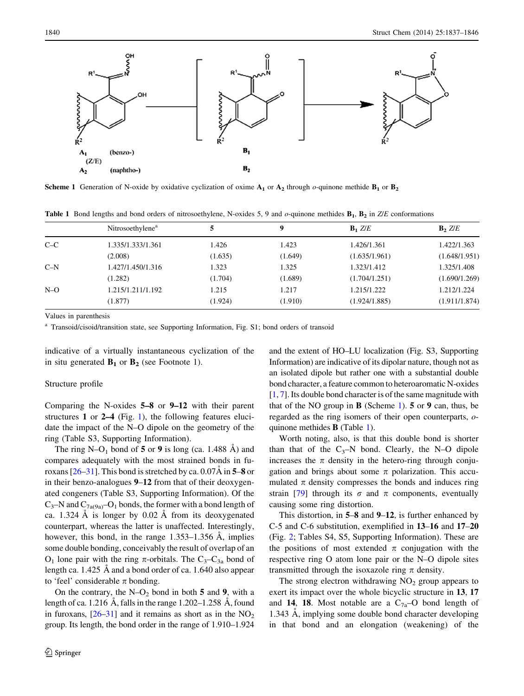<span id="page-3-0"></span>

Scheme 1 Generation of N-oxide by oxidative cyclization of oxime  $A_1$  or  $A_2$  through  $o$ -quinone methide  $B_1$  or  $B_2$ 

**Table 1** Bond lengths and bond orders of nitrosoethylene, N-oxides 5, 9 and  $o$ -quinone methides  $B_1$ ,  $B_2$  in  $Z/E$  conformations

|       | Nitrosoethylene <sup>a</sup> | 5       | 9       | $B_1$ Z/E     | $\mathbf{B}$ , $Z/E$ |
|-------|------------------------------|---------|---------|---------------|----------------------|
| $C-C$ | 1.335/1.333/1.361            | 1.426   | 1.423   | 1.426/1.361   | 1.422/1.363          |
|       | (2.008)                      | (1.635) | (1.649) | (1.635/1.961) | (1.648/1.951)        |
| $C-N$ | 1.427/1.450/1.316            | 1.323   | 1.325   | 1.323/1.412   | 1.325/1.408          |
|       | (1.282)                      | (1.704) | (1.689) | (1.704/1.251) | (1.690/1.269)        |
| $N-O$ | 1.215/1.211/1.192            | 1.215   | 1.217   | 1.215/1.222   | 1.212/1.224          |
|       | (1.877)                      | (1.924) | (1.910) | (1.924/1.885) | (1.911/1.874)        |

Values in parenthesis

<sup>a</sup> Transoid/cisoid/transition state, see Supporting Information, Fig. S1; bond orders of transoid

indicative of a virtually instantaneous cyclization of the in situ generated  $\mathbf{B}_1$  or  $\mathbf{B}_2$  (see Footnote 1).

## Structure profile

Comparing the N-oxides 5–8 or 9–12 with their parent structures 1 or 2–4 (Fig. [1\)](#page-1-0), the following features elucidate the impact of the N–O dipole on the geometry of the ring (Table S3, Supporting Information).

The ring N–O<sub>1</sub> bond of 5 or 9 is long (ca. 1.488 A) and compares adequately with the most strained bonds in furoxans  $[26-31]$ . This bond is stretched by ca. 0.07Å in 5–8 or in their benzo-analogues 9–12 from that of their deoxygenated congeners (Table S3, Supporting Information). Of the  $C_3$ –N and  $C_{7a(9a)}$ –O<sub>1</sub> bonds, the former with a bond length of ca. 1.324  $\AA$  is longer by 0.02  $\AA$  from its deoxygenated counterpart, whereas the latter is unaffected. Interestingly, however, this bond, in the range  $1.353-1.356$  Å, implies some double bonding, conceivably the result of overlap of an  $O_1$  lone pair with the ring  $\pi$ -orbitals. The C<sub>3</sub>–C<sub>3a</sub> bond of length ca.  $1.425 \text{ Å}$  and a bond order of ca.  $1.640$  also appear to 'feel' considerable  $\pi$  bonding.

On the contrary, the  $N-O_2$  bond in both 5 and 9, with a length of ca. 1.216 A, falls in the range  $1.202-1.258$  A, found in furoxans,  $[26-31]$  and it remains as short as in the  $NO<sub>2</sub>$ group. Its length, the bond order in the range of 1.910–1.924 and the extent of HO–LU localization (Fig. S3, Supporting Information) are indicative of its dipolar nature, though not as an isolated dipole but rather one with a substantial double bond character, a feature common to heteroaromatic N-oxides [\[1](#page-8-0), [7](#page-8-0)]. Its double bond character is of the same magnitude with that of the NO group in **B** (Scheme 1).  $5$  or  $9$  can, thus, be regarded as the ring isomers of their open counterparts, oquinone methides B (Table 1).

Worth noting, also, is that this double bond is shorter than that of the  $C_3$ –N bond. Clearly, the N–O dipole increases the  $\pi$  density in the hetero-ring through conjugation and brings about some  $\pi$  polarization. This accumulated  $\pi$  density compresses the bonds and induces ring strain [[79\]](#page-9-0) through its  $\sigma$  and  $\pi$  components, eventually causing some ring distortion.

This distortion, in 5–8 and 9–12, is further enhanced by C-5 and C-6 substitution, exemplified in 13–16 and 17–20 (Fig. [2;](#page-4-0) Tables S4, S5, Supporting Information). These are the positions of most extended  $\pi$  conjugation with the respective ring O atom lone pair or the N–O dipole sites transmitted through the isoxazole ring  $\pi$  density.

The strong electron withdrawing  $NO<sub>2</sub>$  group appears to exert its impact over the whole bicyclic structure in 13, 17 and 14, 18. Most notable are a  $C_{7a}$ –O bond length of 1.343 Å, implying some double bond character developing in that bond and an elongation (weakening) of the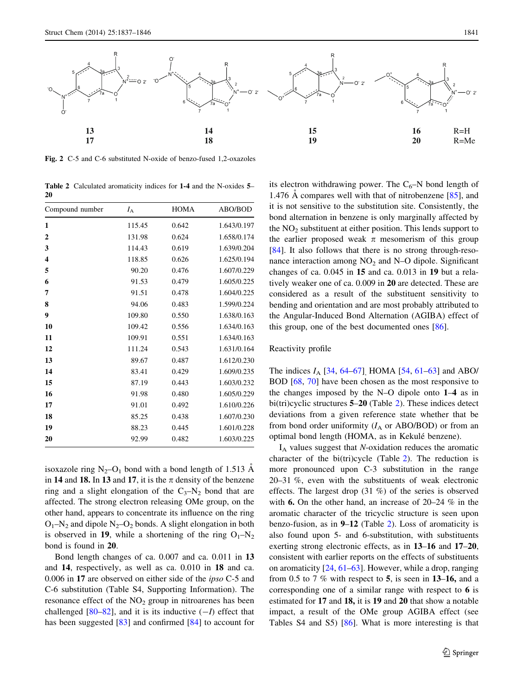<span id="page-4-0"></span>

Fig. 2 C-5 and C-6 substituted N-oxide of benzo-fused 1,2-oxazoles

Table 2 Calculated aromaticity indices for 1-4 and the N-oxides 5– 20

| Compound number         | $I_{\rm A}$ | <b>HOMA</b> | ABO/BOD     |
|-------------------------|-------------|-------------|-------------|
| 1                       | 115.45      | 0.642       | 1.643/0.197 |
| $\mathbf{2}$            | 131.98      | 0.624       | 1.658/0.174 |
| 3                       | 114.43      | 0.619       | 1.639/0.204 |
| $\overline{\mathbf{4}}$ | 118.85      | 0.626       | 1.625/0.194 |
| 5                       | 90.20       | 0.476       | 1.607/0.229 |
| 6                       | 91.53       | 0.479       | 1.605/0.225 |
| 7                       | 91.51       | 0.478       | 1.604/0.225 |
| 8                       | 94.06       | 0.483       | 1.599/0.224 |
| 9                       | 109.80      | 0.550       | 1.638/0.163 |
| 10                      | 109.42      | 0.556       | 1.634/0.163 |
| 11                      | 109.91      | 0.551       | 1.634/0.163 |
| 12                      | 111.24      | 0.543       | 1.631/0.164 |
| 13                      | 89.67       | 0.487       | 1.612/0.230 |
| 14                      | 83.41       | 0.429       | 1.609/0.235 |
| 15                      | 87.19       | 0.443       | 1.603/0.232 |
| 16                      | 91.98       | 0.480       | 1.605/0.229 |
| 17                      | 91.01       | 0.492       | 1.610/0.226 |
| 18                      | 85.25       | 0.438       | 1.607/0.230 |
| 19                      | 88.23       | 0.445       | 1.601/0.228 |
| 20                      | 92.99       | 0.482       | 1.603/0.225 |

isoxazole ring  $N_2$ –O<sub>1</sub> bond with a bond length of 1.513 Å in 14 and 18. In 13 and 17, it is the  $\pi$  density of the benzene ring and a slight elongation of the  $C_3-N_2$  bond that are affected. The strong electron releasing OMe group, on the other hand, appears to concentrate its influence on the ring  $O_1-N_2$  and dipole  $N_2-O_2$  bonds. A slight elongation in both is observed in 19, while a shortening of the ring  $O_1-N_2$ bond is found in 20.

Bond length changes of ca. 0.007 and ca. 0.011 in 13 and 14, respectively, as well as ca. 0.010 in 18 and ca. 0.006 in 17 are observed on either side of the ipso C-5 and C-6 substitution (Table S4, Supporting Information). The resonance effect of the  $NO<sub>2</sub>$  group in nitroarenes has been challenged  $[80-82]$ , and it is its inductive  $(-1)$  effect that has been suggested [\[83](#page-9-0)] and confirmed [[84\]](#page-9-0) to account for its electron withdrawing power. The  $C_6$ –N bond length of 1.476  $\AA$  compares well with that of nitrobenzene [\[85](#page-9-0)], and it is not sensitive to the substitution site. Consistently, the bond alternation in benzene is only marginally affected by the  $NO<sub>2</sub>$  substituent at either position. This lends support to the earlier proposed weak  $\pi$  mesomerism of this group [\[84](#page-9-0)]. It also follows that there is no strong through-resonance interaction among  $NO<sub>2</sub>$  and N–O dipole. Significant changes of ca. 0.045 in 15 and ca. 0.013 in 19 but a relatively weaker one of ca. 0.009 in 20 are detected. These are considered as a result of the substituent sensitivity to bending and orientation and are most probably attributed to the Angular-Induced Bond Alternation (AGIBA) effect of this group, one of the best documented ones [[86\]](#page-9-0).

## Reactivity profile

The indices  $I_A$  [\[34](#page-8-0), [64–67](#page-9-0)], HOMA [\[54](#page-9-0), [61–63\]](#page-9-0) and ABO/ BOD [[68,](#page-9-0) [70](#page-9-0)] have been chosen as the most responsive to the changes imposed by the N–O dipole onto 1–4 as in bi(tri)cyclic structures 5–20 (Table 2). These indices detect deviations from a given reference state whether that be from bond order uniformity  $(I_A \text{ or } ABO/BOD)$  or from an optimal bond length (HOMA, as in Kekulé benzene).

 $I_A$  values suggest that N-oxidation reduces the aromatic character of the bi(tri)cycle (Table 2). The reduction is more pronounced upon C-3 substitution in the range 20–31 %, even with the substituents of weak electronic effects. The largest drop (31 %) of the series is observed with 6. On the other hand, an increase of 20–24 % in the aromatic character of the tricyclic structure is seen upon benzo-fusion, as in 9–12 (Table 2). Loss of aromaticity is also found upon 5- and 6-substitution, with substituents exerting strong electronic effects, as in 13–16 and 17–20, consistent with earlier reports on the effects of substituents on aromaticity [[24,](#page-8-0) [61–63\]](#page-9-0). However, while a drop, ranging from 0.5 to 7  $\%$  with respect to 5, is seen in 13–16, and a corresponding one of a similar range with respect to 6 is estimated for 17 and 18, it is 19 and 20 that show a notable impact, a result of the OMe group AGIBA effect (see Tables S4 and S5) [\[86](#page-9-0)]. What is more interesting is that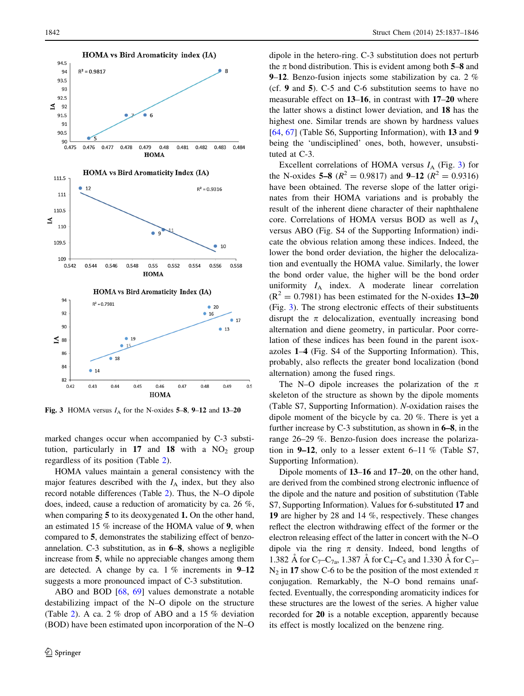

Fig. 3 HOMA versus  $I_A$  for the N-oxides 5–8, 9–12 and 13–20

marked changes occur when accompanied by C-3 substitution, particularly in 17 and 18 with a  $NO<sub>2</sub>$  group regardless of its position (Table [2](#page-4-0)).

HOMA values maintain a general consistency with the major features described with the  $I_A$  index, but they also record notable differences (Table [2](#page-4-0)). Thus, the N–O dipole does, indeed, cause a reduction of aromaticity by ca. 26 %, when comparing 5 to its deoxygenated 1. On the other hand, an estimated 15 % increase of the HOMA value of 9, when compared to 5, demonstrates the stabilizing effect of benzoannelation. C-3 substitution, as in 6–8, shows a negligible increase from 5, while no appreciable changes among them are detected. A change by ca.  $1\%$  increments in  $9-12$ suggests a more pronounced impact of C-3 substitution.

ABO and BOD [\[68](#page-9-0), [69\]](#page-9-0) values demonstrate a notable destabilizing impact of the N–O dipole on the structure (Table [2](#page-4-0)). A ca. 2 % drop of ABO and a 15 % deviation (BOD) have been estimated upon incorporation of the N–O dipole in the hetero-ring. C-3 substitution does not perturb the  $\pi$  bond distribution. This is evident among both 5–8 and 9–12. Benzo-fusion injects some stabilization by ca. 2 % (cf. 9 and 5). C-5 and C-6 substitution seems to have no measurable effect on 13–16, in contrast with 17–20 where the latter shows a distinct lower deviation, and 18 has the highest one. Similar trends are shown by hardness values [\[64](#page-9-0), [67\]](#page-9-0) (Table S6, Supporting Information), with 13 and 9 being the 'undisciplined' ones, both, however, unsubstituted at C-3.

Excellent correlations of HOMA versus  $I_A$  (Fig. 3) for the N-oxides 5–8 ( $R^2 = 0.9817$ ) and 9–12 ( $R^2 = 0.9316$ ) have been obtained. The reverse slope of the latter originates from their HOMA variations and is probably the result of the inherent diene character of their naphthalene core. Correlations of HOMA versus BOD as well as  $I_A$ versus ABO (Fig. S4 of the Supporting Information) indicate the obvious relation among these indices. Indeed, the lower the bond order deviation, the higher the delocalization and eventually the HOMA value. Similarly, the lower the bond order value, the higher will be the bond order uniformity  $I_A$  index. A moderate linear correlation  $(R^{2} = 0.7981)$  has been estimated for the N-oxides 13–20 (Fig. 3). The strong electronic effects of their substituents disrupt the  $\pi$  delocalization, eventually increasing bond alternation and diene geometry, in particular. Poor correlation of these indices has been found in the parent isoxazoles 1–4 (Fig. S4 of the Supporting Information). This, probably, also reflects the greater bond localization (bond alternation) among the fused rings.

The N–O dipole increases the polarization of the  $\pi$ skeleton of the structure as shown by the dipole moments (Table S7, Supporting Information). N-oxidation raises the dipole moment of the bicycle by ca. 20 %. There is yet a further increase by C-3 substitution, as shown in 6–8, in the range 26–29 %. Benzo-fusion does increase the polarization in **9–12**, only to a lesser extent 6–11 % (Table S7, Supporting Information).

Dipole moments of 13–16 and 17–20, on the other hand, are derived from the combined strong electronic influence of the dipole and the nature and position of substitution (Table S7, Supporting Information). Values for 6-substituted 17 and 19 are higher by 28 and 14 %, respectively. These changes reflect the electron withdrawing effect of the former or the electron releasing effect of the latter in concert with the N–O dipole via the ring  $\pi$  density. Indeed, bond lengths of 1.382 Å for  $C_7-C_{7a}$ , 1.387 Å for  $C_4-C_5$  and 1.330 Å for  $C_3 N_2$  in 17 show C-6 to be the position of the most extended  $\pi$ conjugation. Remarkably, the N–O bond remains unaffected. Eventually, the corresponding aromaticity indices for these structures are the lowest of the series. A higher value recorded for 20 is a notable exception, apparently because its effect is mostly localized on the benzene ring.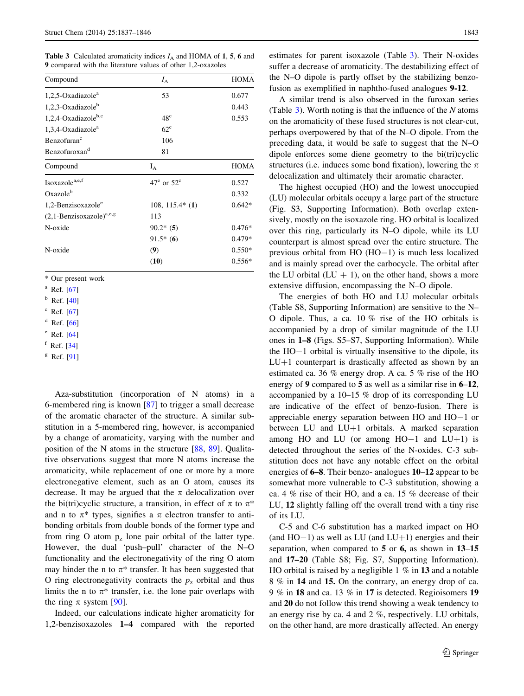**Table 3** Calculated aromaticity indices  $I_A$  and HOMA of 1, 5, 6 and 9 compared with the literature values of other 1,2-oxazoles

| $I_{\rm A}$                  | <b>HOMA</b> |
|------------------------------|-------------|
| 53                           | 0.677       |
|                              | 0.443       |
| 48 <sup>c</sup>              | 0.553       |
| $62^{\circ}$                 |             |
| 106                          |             |
| 81                           |             |
| $I_A$                        | <b>HOMA</b> |
| $47^{\circ}$ or $52^{\circ}$ | 0.527       |
|                              | 0.332       |
| $108, 115.4*$ (1)            | $0.642*$    |
| 113                          |             |
| $90.2*$ (5)                  | $0.476*$    |
| $91.5*(6)$                   | $0.479*$    |
| (9)                          | $0.550*$    |
| (10)                         | $0.556*$    |
|                              |             |

\* Our present work

<sup>a</sup> Ref. [\[67\]](#page-9-0)

 $<sup>b</sup>$  Ref. [\[40\]](#page-9-0)</sup>

 $c$  Ref. [\[67\]](#page-9-0)

 $d$  Ref. [\[66\]](#page-9-0)

 $e$  Ref. [\[64\]](#page-9-0)

 $f$  Ref. [\[34\]](#page-8-0)

 $g$  Ref. [\[91\]](#page-9-0)

Aza-substitution (incorporation of N atoms) in a 6-membered ring is known [\[87](#page-9-0)] to trigger a small decrease of the aromatic character of the structure. A similar substitution in a 5-membered ring, however, is accompanied by a change of aromaticity, varying with the number and position of the N atoms in the structure [\[88](#page-9-0), [89](#page-9-0)]. Qualitative observations suggest that more N atoms increase the aromaticity, while replacement of one or more by a more electronegative element, such as an O atom, causes its decrease. It may be argued that the  $\pi$  delocalization over the bi(tri)cyclic structure, a transition, in effect of  $\pi$  to  $\pi^*$ and n to  $\pi^*$  types, signifies a  $\pi$  electron transfer to antibonding orbitals from double bonds of the former type and from ring O atom  $p_z$  lone pair orbital of the latter type. However, the dual 'push–pull' character of the N–O functionality and the electronegativity of the ring O atom may hinder the n to  $\pi^*$  transfer. It has been suggested that O ring electronegativity contracts the  $p<sub>z</sub>$  orbital and thus limits the n to  $\pi^*$  transfer, i.e. the lone pair overlaps with the ring  $\pi$  system [\[90](#page-9-0)].

Indeed, our calculations indicate higher aromaticity for 1,2-benzisoxazoles 1–4 compared with the reported estimates for parent isoxazole (Table 3). Their N-oxides suffer a decrease of aromaticity. The destabilizing effect of the N–O dipole is partly offset by the stabilizing benzofusion as exemplified in naphtho-fused analogues 9-12.

A similar trend is also observed in the furoxan series (Table  $3$ ). Worth noting is that the influence of the N atoms on the aromaticity of these fused structures is not clear-cut, perhaps overpowered by that of the N–O dipole. From the preceding data, it would be safe to suggest that the N–O dipole enforces some diene geometry to the bi(tri)cyclic structures (i.e. induces some bond fixation), lowering the  $\pi$ delocalization and ultimately their aromatic character.

The highest occupied (HO) and the lowest unoccupied (LU) molecular orbitals occupy a large part of the structure (Fig. S3, Supporting Information). Both overlap extensively, mostly on the isoxazole ring. HO orbital is localized over this ring, particularly its N–O dipole, while its LU counterpart is almost spread over the entire structure. The previous orbital from HO (HO-1) is much less localized and is mainly spread over the carbocycle. The orbital after the LU orbital  $(LU + 1)$ , on the other hand, shows a more extensive diffusion, encompassing the N–O dipole.

The energies of both HO and LU molecular orbitals (Table S8, Supporting Information) are sensitive to the N– O dipole. Thus, a ca. 10 % rise of the HO orbitals is accompanied by a drop of similar magnitude of the LU ones in 1–8 (Figs. S5–S7, Supporting Information). While the HO-1 orbital is virtually insensitive to the dipole, its  $LU+1$  counterpart is drastically affected as shown by an estimated ca. 36 % energy drop. A ca. 5 % rise of the HO energy of 9 compared to 5 as well as a similar rise in  $6-12$ , accompanied by a 10–15 % drop of its corresponding LU are indicative of the effect of benzo-fusion. There is appreciable energy separation between HO and HO-1 or between LU and  $LU+1$  orbitals. A marked separation among HO and LU (or among  $HO-1$  and  $LU+1$ ) is detected throughout the series of the N-oxides. C-3 substitution does not have any notable effect on the orbital energies of 6–8. Their benzo- analogues 10–12 appear to be somewhat more vulnerable to C-3 substitution, showing a ca. 4 % rise of their HO, and a ca. 15 % decrease of their LU, 12 slightly falling off the overall trend with a tiny rise of its LU.

C-5 and C-6 substitution has a marked impact on HO (and  $HO-1$ ) as well as LU (and  $LU+1$ ) energies and their separation, when compared to 5 or 6, as shown in 13–15 and 17–20 (Table S8; Fig. S7, Supporting Information). HO orbital is raised by a negligible  $1\%$  in 13 and a notable 8 % in 14 and 15. On the contrary, an energy drop of ca. 9 % in 18 and ca. 13 % in 17 is detected. Regioisomers 19 and 20 do not follow this trend showing a weak tendency to an energy rise by ca. 4 and 2 %, respectively. LU orbitals, on the other hand, are more drastically affected. An energy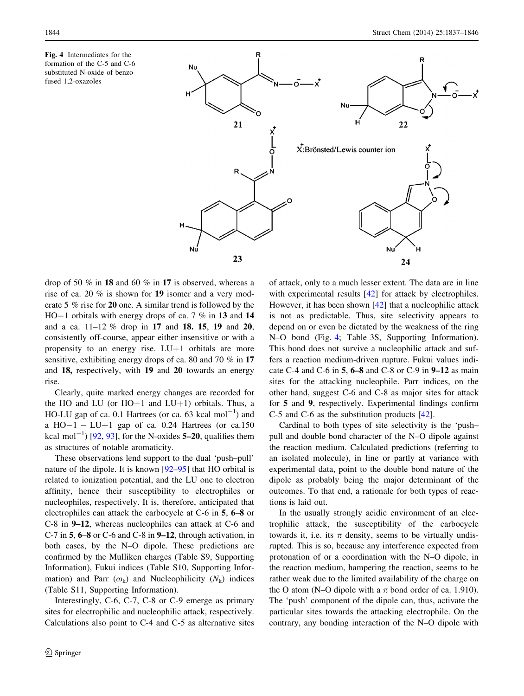<span id="page-7-0"></span>Fig. 4 Intermediates for the formation of the C-5 and C-6 substituted N-oxide of benzofused 1,2-oxazoles



drop of 50 % in 18 and 60 % in 17 is observed, whereas a rise of ca. 20 % is shown for 19 isomer and a very moderate 5 % rise for 20 one. A similar trend is followed by the HO-1 orbitals with energy drops of ca. 7 % in 13 and 14 and a ca. 11–12 % drop in 17 and 18. 15, 19 and 20, consistently off-course, appear either insensitive or with a propensity to an energy rise.  $LU+1$  orbitals are more sensitive, exhibiting energy drops of ca. 80 and 70 % in 17 and 18, respectively, with 19 and 20 towards an energy rise.

Clearly, quite marked energy changes are recorded for the HO and LU (or  $HO-1$  and  $LU+1$ ) orbitals. Thus, a HO-LU gap of ca. 0.1 Hartrees (or ca. 63 kcal  $mol^{-1}$ ) and a  $HO-1 - LU+1$  gap of ca. 0.24 Hartrees (or ca.150) kcal mol<sup>-1</sup>) [[92](#page-9-0), [93\]](#page-9-0), for the N-oxides  $5-20$ , qualifies them as structures of notable aromaticity.

These observations lend support to the dual 'push–pull' nature of the dipole. It is known [\[92–95](#page-9-0)] that HO orbital is related to ionization potential, and the LU one to electron affinity, hence their susceptibility to electrophiles or nucleophiles, respectively. It is, therefore, anticipated that electrophiles can attack the carbocycle at C-6 in 5, 6–8 or C-8 in 9–12, whereas nucleophiles can attack at C-6 and C-7 in 5, 6–8 or C-6 and C-8 in 9–12, through activation, in both cases, by the N–O dipole. These predictions are confirmed by the Mulliken charges (Table S9, Supporting Information), Fukui indices (Table S10, Supporting Information) and Parr  $(\omega_k)$  and Nucleophilicity  $(N_k)$  indices (Table S11, Supporting Information).

Interestingly, C-6, C-7, C-8 or C-9 emerge as primary sites for electrophilic and nucleophilic attack, respectively. Calculations also point to C-4 and C-5 as alternative sites of attack, only to a much lesser extent. The data are in line with experimental results [[42\]](#page-9-0) for attack by electrophiles. However, it has been shown [[42](#page-9-0)] that a nucleophilic attack is not as predictable. Thus, site selectivity appears to depend on or even be dictated by the weakness of the ring N–O bond (Fig. 4; Table 3S, Supporting Information). This bond does not survive a nucleophilic attack and suffers a reaction medium-driven rupture. Fukui values indicate C-4 and C-6 in 5, 6–8 and C-8 or C-9 in 9–12 as main sites for the attacking nucleophile. Parr indices, on the other hand, suggest C-6 and C-8 as major sites for attack for 5 and 9, respectively. Experimental findings confirm C-5 and C-6 as the substitution products [[42\]](#page-9-0).

Cardinal to both types of site selectivity is the 'push– pull and double bond character of the N–O dipole against the reaction medium. Calculated predictions (referring to an isolated molecule), in line or partly at variance with experimental data, point to the double bond nature of the dipole as probably being the major determinant of the outcomes. To that end, a rationale for both types of reactions is laid out.

In the usually strongly acidic environment of an electrophilic attack, the susceptibility of the carbocycle towards it, i.e. its  $\pi$  density, seems to be virtually undisrupted. This is so, because any interference expected from protonation of or a coordination with the N–O dipole, in the reaction medium, hampering the reaction, seems to be rather weak due to the limited availability of the charge on the O atom (N–O dipole with a  $\pi$  bond order of ca. 1.910). The 'push' component of the dipole can, thus, activate the particular sites towards the attacking electrophile. On the contrary, any bonding interaction of the N–O dipole with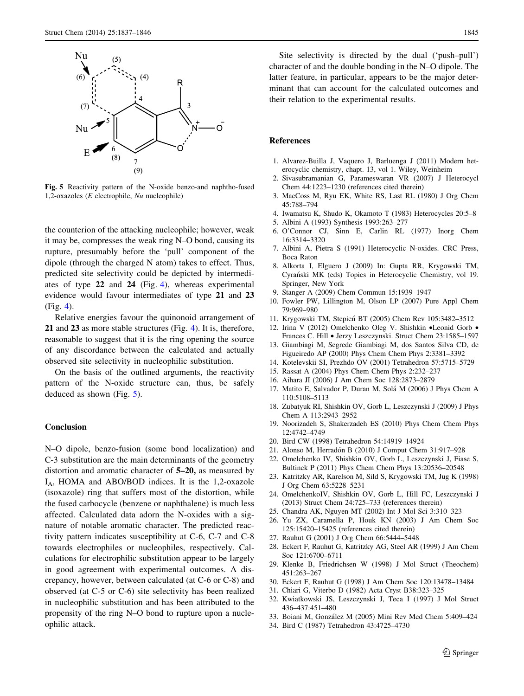<span id="page-8-0"></span>

Fig. 5 Reactivity pattern of the N-oxide benzo-and naphtho-fused 1,2-oxazoles ( $E$  electrophile,  $Nu$  nucleophile)

the counterion of the attacking nucleophile; however, weak it may be, compresses the weak ring N–O bond, causing its rupture, presumably before the 'pull' component of the dipole (through the charged N atom) takes to effect. Thus, predicted site selectivity could be depicted by intermediates of type 22 and 24 (Fig. [4](#page-7-0)), whereas experimental evidence would favour intermediates of type 21 and 23 (Fig. [4](#page-7-0)).

Relative energies favour the quinonoid arrangement of 21 and 23 as more stable structures (Fig. [4\)](#page-7-0). It is, therefore, reasonable to suggest that it is the ring opening the source of any discordance between the calculated and actually observed site selectivity in nucleophilic substitution.

On the basis of the outlined arguments, the reactivity pattern of the N-oxide structure can, thus, be safely deduced as shown (Fig. 5).

## Conclusion

N–O dipole, benzo-fusion (some bond localization) and C-3 substitution are the main determinants of the geometry distortion and aromatic character of 5–20, as measured by  $I_A$ , HOMA and ABO/BOD indices. It is the 1,2-oxazole (isoxazole) ring that suffers most of the distortion, while the fused carbocycle (benzene or naphthalene) is much less affected. Calculated data adorn the N-oxides with a signature of notable aromatic character. The predicted reactivity pattern indicates susceptibility at C-6, C-7 and C-8 towards electrophiles or nucleophiles, respectively. Calculations for electrophilic substitution appear to be largely in good agreement with experimental outcomes. A discrepancy, however, between calculated (at C-6 or C-8) and observed (at C-5 or C-6) site selectivity has been realized in nucleophilic substitution and has been attributed to the propensity of the ring N–O bond to rupture upon a nucleophilic attack.

Site selectivity is directed by the dual ('push–pull') character of and the double bonding in the N–O dipole. The latter feature, in particular, appears to be the major determinant that can account for the calculated outcomes and their relation to the experimental results.

## References

- 1. Alvarez-Builla J, Vaquero J, Barluenga J (2011) Modern heterocyclic chemistry, chapt. 13, vol 1. Wiley, Weinheim
- 2. Sivasubramanian G, Parameswaran VR (2007) J Heterocycl Chem 44:1223–1230 (references cited therein)
- 3. MacCoss M, Ryu EK, White RS, Last RL (1980) J Org Chem 45:788–794
- 4. Iwamatsu K, Shudo K, Okamoto T (1983) Heterocycles 20:5–8
- 5. Albini A (1993) Synthesis 1993:263–277
- 6. O'Connor CJ, Sinn E, Carlin RL (1977) Inorg Chem 16:3314–3320
- 7. Albini A, Pietra S (1991) Heterocyclic N-oxides. CRC Press, Boca Raton
- 8. Alkorta I, Elguero J (2009) In: Gupta RR, Krygowski TM, Cyran´ski MK (eds) Topics in Heterocyclic Chemistry, vol 19. Springer, New York
- 9. Stanger A (2009) Chem Commun 15:1939–1947
- 10. Fowler PW, Lillington M, Olson LP (2007) Pure Appl Chem 79:969–980
- 11. Krygowski TM, Stepien´ BT (2005) Chem Rev 105:3482–3512
- 12. Irina V (2012) Omelchenko Oleg V. Shishkin •Leonid Gorb Frances C. Hill • Jerzy Leszczynski. Struct Chem 23:1585–1597
- 13. Giambiagi M, Segrede Giambiagi M, dos Santos Silva CD, de Figueiredo AP (2000) Phys Chem Chem Phys 2:3381–3392
- 14. Kotelevskii SI, Prezhdo OV (2001) Tetrahedron 57:5715–5729
- 15. Rassat A (2004) Phys Chem Chem Phys 2:232–237
- 16. Aihara JI (2006) J Am Chem Soc 128:2873–2879
- 17. Matito E, Salvador P, Duran M, Sola´ M (2006) J Phys Chem A 110:5108–5113
- 18. Zubatyuk RI, Shishkin OV, Gorb L, Leszczynski J (2009) J Phys Chem A 113:2943–2952
- 19. Noorizadeh S, Shakerzadeh ES (2010) Phys Chem Chem Phys 12:4742–4749
- 20. Bird CW (1998) Tetrahedron 54:14919–14924
- 21. Alonso M, Herradón B (2010) J Comput Chem 31:917–928
- 22. Omelchenko IV, Shishkin OV, Gorb L, Leszczynski J, Fiase S, Bultinck P (2011) Phys Chem Chem Phys 13:20536–20548
- 23. Katritzky AR, Karelson M, Sild S, Krygowski TM, Jug K (1998) J Org Chem 63:5228–5231
- 24. OmelchenkoIV, Shishkin OV, Gorb L, Hill FC, Leszczynski J (2013) Struct Chem 24:725–733 (references therein)
- 25. Chandra AK, Nguyen MT (2002) Int J Mol Sci 3:310–323
- 26. Yu ZX, Caramella P, Houk KN (2003) J Am Chem Soc 125:15420–15425 (references cited therein)
- 27. Rauhut G (2001) J Org Chem 66:5444–5448
- 28. Eckert F, Rauhut G, Katritzky AG, Steel AR (1999) J Am Chem Soc 121:6700–6711
- 29. Klenke B, Friedrichsen W (1998) J Mol Struct (Theochem) 451:263–267
- 30. Eckert F, Rauhut G (1998) J Am Chem Soc 120:13478–13484
- 31. Chiari G, Viterbo D (1982) Acta Cryst B38:323–325
- 32. Kwiatkowski JS, Leszczynski J, Teca I (1997) J Mol Struct 436–437:451–480
- 33. Boiani M, González M (2005) Mini Rev Med Chem 5:409-424
- 34. Bird C (1987) Tetrahedron 43:4725–4730